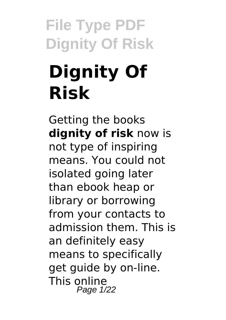# **Dignity Of Risk**

Getting the books **dignity of risk** now is not type of inspiring means. You could not isolated going later than ebook heap or library or borrowing from your contacts to admission them. This is an definitely easy means to specifically get guide by on-line. This online Page 1/22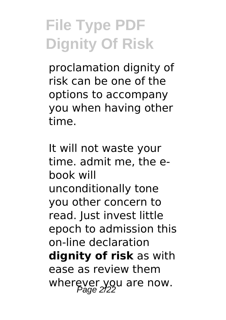proclamation dignity of risk can be one of the options to accompany you when having other time.

It will not waste your time. admit me, the ebook will unconditionally tone you other concern to read. Just invest little epoch to admission this on-line declaration **dignity of risk** as with ease as review them wherever you are now.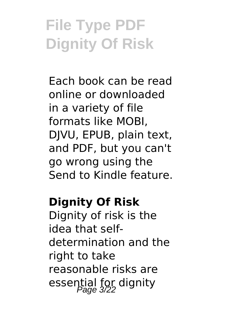Each book can be read online or downloaded in a variety of file formats like MOBI, DJVU, EPUB, plain text, and PDF, but you can't go wrong using the Send to Kindle feature.

#### **Dignity Of Risk**

Dignity of risk is the idea that selfdetermination and the right to take reasonable risks are essential for dignity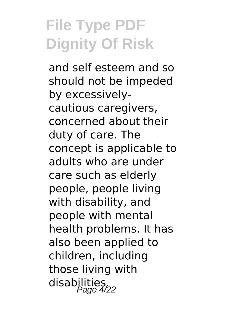and self esteem and so should not be impeded by excessivelycautious caregivers, concerned about their duty of care. The concept is applicable to adults who are under care such as elderly people, people living with disability, and people with mental health problems. It has also been applied to children, including those living with disabilities.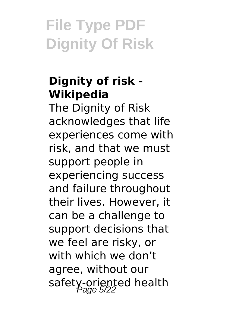#### **Dignity of risk - Wikipedia**

The Dignity of Risk acknowledges that life experiences come with risk, and that we must support people in experiencing success and failure throughout their lives. However, it can be a challenge to support decisions that we feel are risky, or with which we don't agree, without our safety-oriented health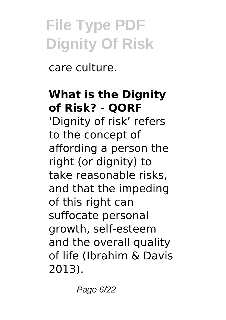care culture.

#### **What is the Dignity of Risk? - QORF** 'Dignity of risk' refers

to the concept of affording a person the right (or dignity) to take reasonable risks, and that the impeding of this right can suffocate personal growth, self-esteem and the overall quality of life (Ibrahim & Davis 2013).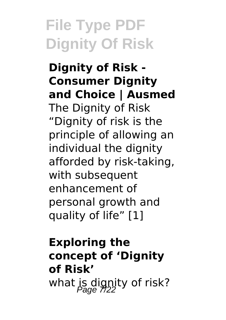#### **Dignity of Risk - Consumer Dignity and Choice | Ausmed** The Dignity of Risk "Dignity of risk is the principle of allowing an individual the dignity afforded by risk-taking, with subsequent enhancement of personal growth and quality of life" [1]

#### **Exploring the concept of 'Dignity of Risk'** what is dignity of risk?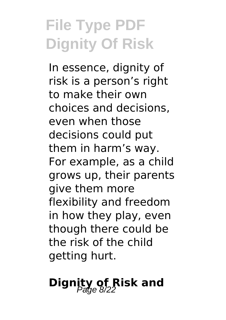In essence, dignity of risk is a person's right to make their own choices and decisions, even when those decisions could put them in harm's way. For example, as a child grows up, their parents give them more flexibility and freedom in how they play, even though there could be the risk of the child getting hurt.

### **Dignity of Risk and**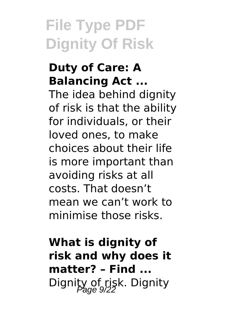#### **Duty of Care: A Balancing Act ...**

The idea behind dignity of risk is that the ability for individuals, or their loved ones, to make choices about their life is more important than avoiding risks at all costs. That doesn't mean we can't work to minimise those risks.

#### **What is dignity of risk and why does it matter? – Find ...** Dignity of risk. Dignity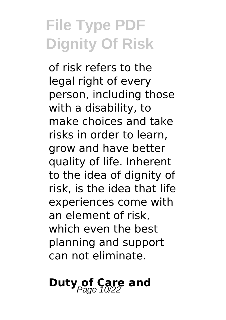of risk refers to the legal right of every person, including those with a disability, to make choices and take risks in order to learn, grow and have better quality of life. Inherent to the idea of dignity of risk, is the idea that life experiences come with an element of risk, which even the best planning and support can not eliminate.

#### **Duty of Care and**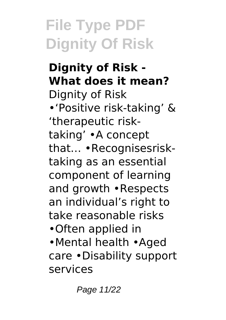#### **Dignity of Risk - What does it mean?** Dignity of Risk •'Positive risk-taking' & 'therapeutic risktaking' •A concept that… •Recognisesrisktaking as an essential component of learning and growth •Respects an individual's right to take reasonable risks •Often applied in •Mental health •Aged care •Disability support services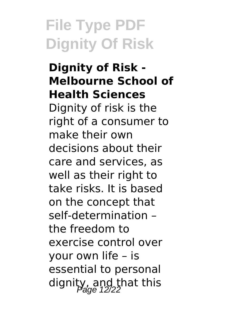#### **Dignity of Risk - Melbourne School of Health Sciences**

Dignity of risk is the right of a consumer to make their own decisions about their care and services, as well as their right to take risks. It is based on the concept that self-determination – the freedom to exercise control over your own life – is essential to personal dignity, and that this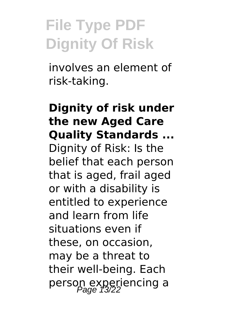involves an element of risk-taking.

#### **Dignity of risk under the new Aged Care Quality Standards ...** Dignity of Risk: Is the belief that each person that is aged, frail aged or with a disability is entitled to experience and learn from life situations even if these, on occasion, may be a threat to their well-being. Each person experiencing a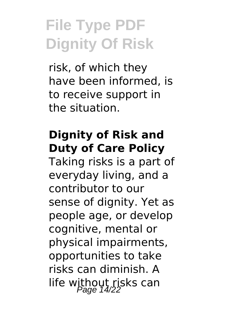risk, of which they have been informed, is to receive support in the situation.

#### **Dignity of Risk and Duty of Care Policy**

Taking risks is a part of everyday living, and a contributor to our sense of dignity. Yet as people age, or develop cognitive, mental or physical impairments, opportunities to take risks can diminish. A life without risks can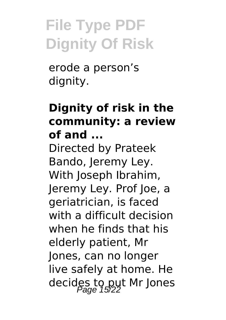erode a person's dignity.

#### **Dignity of risk in the community: a review of and ...**

Directed by Prateek Bando, Jeremy Lev. With Joseph Ibrahim, Jeremy Ley. Prof Joe, a geriatrician, is faced with a difficult decision when he finds that his elderly patient, Mr Jones, can no longer live safely at home. He decides to put Mr Jones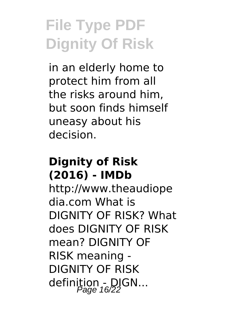in an elderly home to protect him from all the risks around him, but soon finds himself uneasy about his decision.

#### **Dignity of Risk (2016) - IMDb**

http://www.theaudiope dia.com What is DIGNITY OF RISK? What does DIGNITY OF RISK mean? DIGNITY OF RISK meaning - DIGNITY OF RISK definition - DIGN...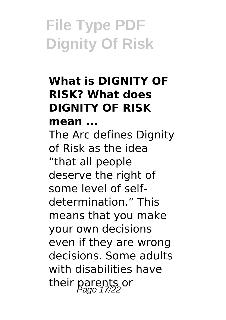#### **What is DIGNITY OF RISK? What does DIGNITY OF RISK**

**mean ...**

The Arc defines Dignity of Risk as the idea "that all people deserve the right of some level of selfdetermination." This means that you make your own decisions even if they are wrong decisions. Some adults with disabilities have their parents or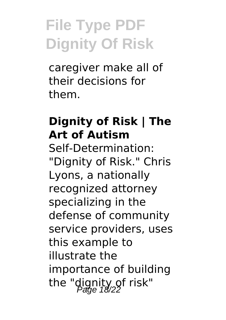caregiver make all of their decisions for them.

#### **Dignity of Risk | The Art of Autism**

Self-Determination: "Dignity of Risk." Chris Lyons, a nationally recognized attorney specializing in the defense of community service providers, uses this example to illustrate the importance of building the "dignity of risk"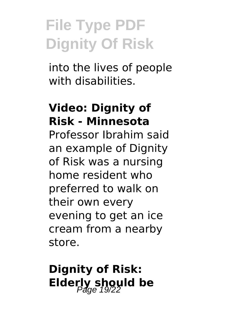into the lives of people with disabilities.

#### **Video: Dignity of Risk - Minnesota**

Professor Ibrahim said an example of Dignity of Risk was a nursing home resident who preferred to walk on their own every evening to get an ice cream from a nearby store.

#### **Dignity of Risk: Elderly should be**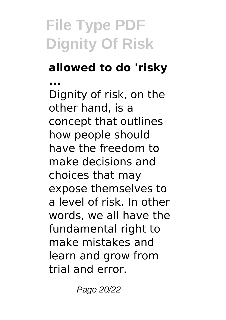#### **allowed to do 'risky**

**...** Dignity of risk, on the other hand, is a concept that outlines how people should have the freedom to make decisions and choices that may expose themselves to a level of risk. In other words, we all have the fundamental right to make mistakes and learn and grow from trial and error.

Page 20/22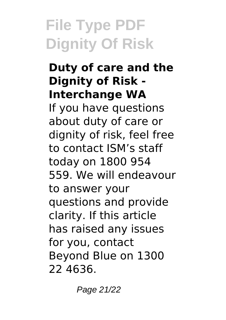#### **Duty of care and the Dignity of Risk - Interchange WA**

If you have questions about duty of care or dignity of risk, feel free to contact ISM's staff today on 1800 954 559. We will endeavour to answer your questions and provide clarity. If this article has raised any issues for you, contact Beyond Blue on 1300 22 4636.